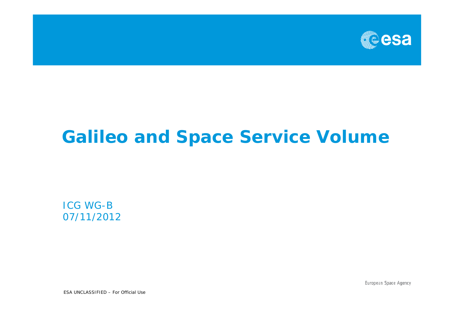

# **Galileo and Space Service Volume**

ICG WG-B 07/11/2012

European Space Agency

ESA UNCLASSIFIED – For Official Use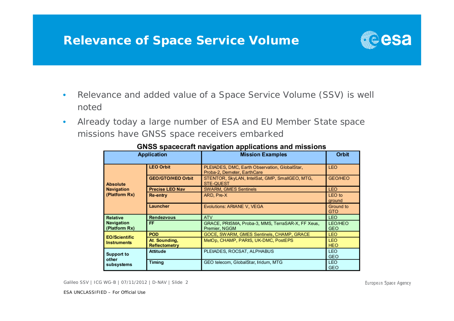### **Relevance of Space Service Volume**



- • Relevance and added value of a Space Service Volume (SSV) is well noted
- • Already today a large number of ESA and EU Member State space missions have GNSS space receivers embarked

| <b>Application</b>                                    |                                | <b>Mission Examples</b>                                                      | Orbit                        |
|-------------------------------------------------------|--------------------------------|------------------------------------------------------------------------------|------------------------------|
| <b>Absolute</b><br><b>Navigation</b><br>(Platform Rx) | <b>LEO Orbit</b>               | PLEIADES, DMC, Earth Observation, GlobalStar,<br>Proba-2, Demeter, EarthCare | <b>LEO</b>                   |
|                                                       | <b>GEO/GTO/HEO Orbit</b>       | STENTOR, SkyLAN, IntelSat, GMP, SmallGEO, MTG,<br><b>STE-QUEST</b>           | <b>GEO/HEO</b>               |
|                                                       | <b>Precise LEO Nav</b>         | <b>SWARM, GMES Sentinels</b>                                                 | <b>LEO</b>                   |
|                                                       | Re-entry                       | ARD, Pre-X                                                                   | LEO to<br>ground             |
|                                                       | Launcher                       | Evolutions: ARIANE V, VEGA                                                   | Ground to<br><b>GTO</b>      |
| <b>Relative</b><br><b>Navigation</b><br>(Platform Rx) | <b>Rendezvous</b>              | <b>ATV</b>                                                                   | <b>LEO</b>                   |
|                                                       | FF                             | GRACE, PRISMA, Proba-3, MMS, TerraSAR-X, FF Xeus,<br>Premier, NGGM           | <b>LEO/HEO</b><br><b>GEO</b> |
| <b>EO/Scientific</b><br><b>Instruments</b>            | <b>POD</b>                     | GOCE, SWARM, GMES Sentinels, CHAMP, GRACE                                    | <b>LEO</b>                   |
|                                                       | At. Sounding,<br>Reflectometry | MetOp, CHAMP, PARIS, UK-DMC, PostEPS                                         | <b>LEO</b><br><b>HEO</b>     |
| Support to<br>other<br>subsystems                     | <b>Attitude</b>                | PLEIADES, ROCSAT, ALPHABUS                                                   | <b>LEO</b><br><b>GEO</b>     |
|                                                       | Timing                         | GEO telecom, GlobalStar, Iridum, MTG                                         | <b>LEO</b><br><b>GEO</b>     |

#### **GNSS spacecraft navigation applications and missions**

Galileo SSV | ICG WG-B | 07/11/2012 | D-NAV | Slide 2

European Space Agency

ESA UNCLASSIFIED – For Official Use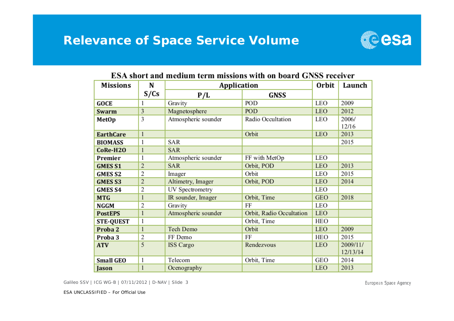### **Relevance of Space Service Volume**



| <b>Missions</b>  | N              | Application         |                          | <b>Orbit</b> | Launch               |
|------------------|----------------|---------------------|--------------------------|--------------|----------------------|
|                  | S/Cs           | P/L                 | GNSS                     |              |                      |
| GOCE             | 1              | Gravity             | POD                      | LEO          | 2009                 |
| Swarm            | 3              | Magnetosphere       | POD                      | <b>LEO</b>   | 2012                 |
| MetOp            | 3              | Atmospheric sounder | Radio Occultation        | LEO          | 2006/<br>12/16       |
| <b>EarthCare</b> | $\mathbf{1}$   |                     | Orbit                    | <b>LEO</b>   | 2013                 |
| <b>BIOMASS</b>   | 1              | SAR                 |                          |              | 2015                 |
| CoRe-H2O         | 1              | <b>SAR</b>          |                          |              |                      |
| Premier          | 1              | Atmospheric sounder | FF with MetOp            | LEO          |                      |
| <b>GMESS1</b>    | $\overline{c}$ | <b>SAR</b>          | Orbit, POD               | <b>LEO</b>   | 2013                 |
| <b>GMESS2</b>    | 2              | Imager              | Orbit                    | LEO          | 2015                 |
| <b>GMES S3</b>   | $\overline{c}$ | Altimetry, Imager   | Orbit, POD               | <b>LEO</b>   | 2014                 |
| <b>GMES S4</b>   | 2              | UV Spectrometry     |                          | LEO          |                      |
| <b>MTG</b>       | $\mathbf{1}$   | IR sounder, Imager  | Orbit, Time              | <b>GEO</b>   | 2018                 |
| NGGM             | 2              | Gravity             | FF                       | LEO          |                      |
| <b>PostEPS</b>   | 1              | Atmospheric sounder | Orbit, Radio Occultation | <b>LEO</b>   |                      |
| <b>STE-QUEST</b> | 1              |                     | Orbit, Time              | <b>HEO</b>   |                      |
| Proba 2          | 1              | Tech Demo           | Orbit                    | <b>LEO</b>   | 2009                 |
| Proba 3          | 2              | FF Demo             | FF                       | HEO          | 2015                 |
| <b>ATV</b>       | 5              | <b>ISS</b> Cargo    | Rendezvous               | LEO          | 2009/11/<br>12/13/14 |
| <b>Small GEO</b> | 1              | Telecom             | Orbit, Time              | <b>GEO</b>   | 2014                 |
| Jason            | 1              | Ocenography         |                          | <b>LEO</b>   | 2013                 |

#### ESA short and medium term missions with on board GNSS receiver

Galileo SSV | ICG WG-B | 07/11/2012 | D-NAV | Slide 3

European Space Agency

ESA UNCLASSIFIED – For Official Use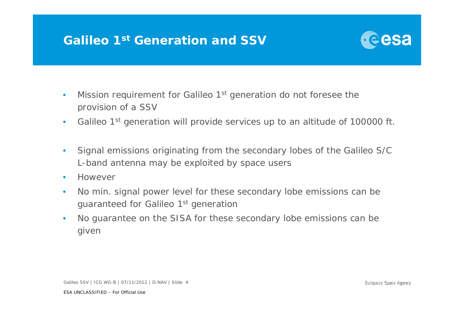## **Galileo 1st Generation and SSV**



- •Mission requirement for Galileo 1<sup>st</sup> generation do not foresee the provision of a SSV
- •Galileo 1<sup>st</sup> generation will provide services up to an altitude of 100000 ft.
- $\bullet$  Signal emissions originating from the secondary lobes of the Galileo S/C L-band antenna may be exploited by space users
- •However
- • No min. signal power level for these secondary lobe emissions can be guaranteed for Galileo 1st generation
- • No guarantee on the SISA for these secondary lobe emissions can be given